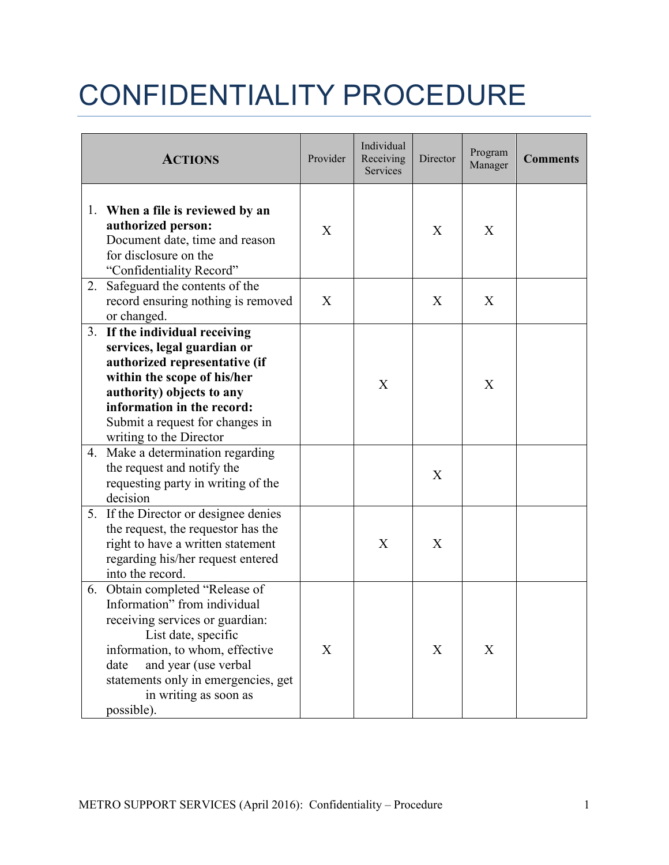## CONFIDENTIALITY PROCEDURE

|    | <b>ACTIONS</b>                                                                                                                                                                                                                                                             | Provider | Individual<br>Receiving<br>Services | Director | Program<br>Manager | <b>Comments</b> |
|----|----------------------------------------------------------------------------------------------------------------------------------------------------------------------------------------------------------------------------------------------------------------------------|----------|-------------------------------------|----------|--------------------|-----------------|
| 1. | When a file is reviewed by an<br>authorized person:<br>Document date, time and reason<br>for disclosure on the<br>"Confidentiality Record"                                                                                                                                 | X        |                                     | X        | X                  |                 |
| 2. | Safeguard the contents of the<br>record ensuring nothing is removed<br>or changed.                                                                                                                                                                                         | X        |                                     | X        | X                  |                 |
| 3. | If the individual receiving<br>services, legal guardian or<br>authorized representative (if<br>within the scope of his/her<br>authority) objects to any<br>information in the record:<br>Submit a request for changes in<br>writing to the Director                        |          | X                                   |          | X                  |                 |
| 4. | Make a determination regarding<br>the request and notify the<br>requesting party in writing of the<br>decision                                                                                                                                                             |          |                                     | X        |                    |                 |
| 5. | If the Director or designee denies<br>the request, the requestor has the<br>right to have a written statement<br>regarding his/her request entered<br>into the record.                                                                                                     |          | X                                   | X        |                    |                 |
|    | 6. Obtain completed "Release of<br>Information" from individual<br>receiving services or guardian:<br>List date, specific<br>information, to whom, effective<br>and year (use verbal<br>date<br>statements only in emergencies, get<br>in writing as soon as<br>possible). | X        |                                     | X        | X                  |                 |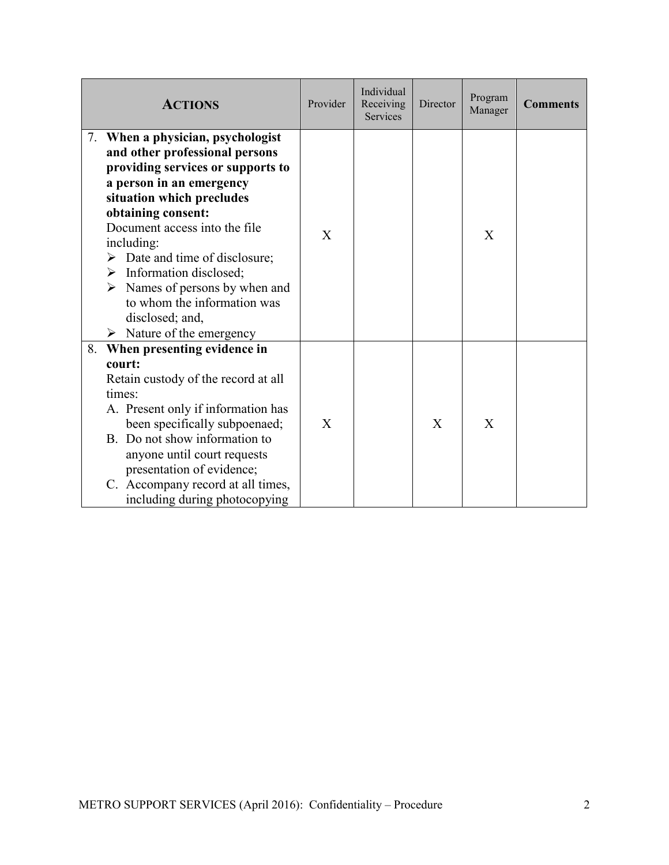| <b>ACTIONS</b>                                                                                                                                                                                                                                                                                                                                                                                                                                                        | Provider     | Individual<br>Receiving<br><b>Services</b> | Director | Program<br>Manager | <b>Comments</b> |
|-----------------------------------------------------------------------------------------------------------------------------------------------------------------------------------------------------------------------------------------------------------------------------------------------------------------------------------------------------------------------------------------------------------------------------------------------------------------------|--------------|--------------------------------------------|----------|--------------------|-----------------|
| 7. When a physician, psychologist<br>and other professional persons<br>providing services or supports to<br>a person in an emergency<br>situation which precludes<br>obtaining consent:<br>Document access into the file<br>including:<br>$\triangleright$ Date and time of disclosure;<br>$\triangleright$ Information disclosed;<br>Names of persons by when and<br>➤<br>to whom the information was<br>disclosed; and,<br>$\triangleright$ Nature of the emergency | X            |                                            |          | X                  |                 |
| When presenting evidence in<br>8.<br>court:<br>Retain custody of the record at all<br>times:<br>A. Present only if information has<br>been specifically subpoenaed;<br>B. Do not show information to<br>anyone until court requests<br>presentation of evidence;<br>C. Accompany record at all times,<br>including during photocopying                                                                                                                                | $\mathbf{X}$ |                                            | X        | X                  |                 |